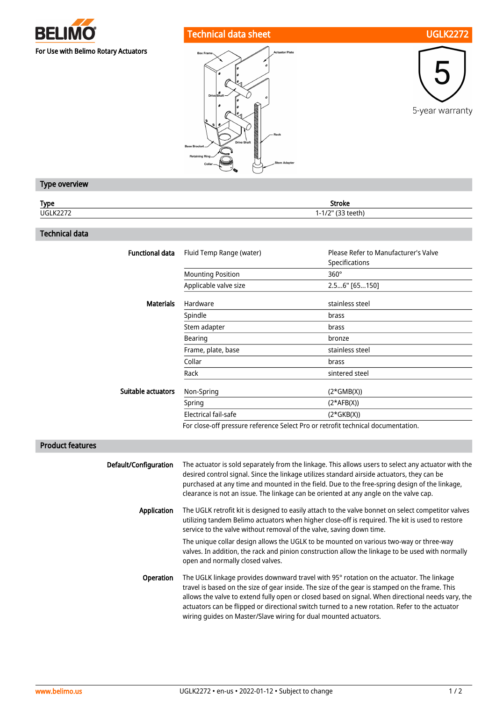

## Technical data sheet UGLK2272







## Type overview

| Type          | Stroke                       |
|---------------|------------------------------|
| UGLK2<br>ᄿᄼᄼᄼ | $\sim$<br>$1 - 1/2$<br>้เว็บ |
|               |                              |

## Technical data

| <b>Functional data</b> | Fluid Temp Range (water) | Please Refer to Manufacturer's Valve<br>Specifications |
|------------------------|--------------------------|--------------------------------------------------------|
|                        | <b>Mounting Position</b> | $360^\circ$                                            |
|                        | Applicable valve size    | 2.56" [65150]                                          |
| <b>Materials</b>       | Hardware                 | stainless steel                                        |
|                        | Spindle                  | brass                                                  |
|                        | Stem adapter             | brass                                                  |
|                        | Bearing                  | bronze                                                 |
|                        | Frame, plate, base       | stainless steel                                        |
|                        | Collar                   | brass                                                  |
|                        | Rack                     | sintered steel                                         |
| Suitable actuators     | Non-Spring               | $(2*GMB(X))$                                           |
|                        | Spring                   | $(2*AFB(X))$                                           |
|                        | Electrical fail-safe     | $(2*GKB(X))$                                           |
|                        |                          |                                                        |

For close-off pressure reference Select Pro or retrofit technical documentation.

## Product features

| Default/Configuration | The actuator is sold separately from the linkage. This allows users to select any actuator with the<br>desired control signal. Since the linkage utilizes standard airside actuators, they can be<br>purchased at any time and mounted in the field. Due to the free-spring design of the linkage,<br>clearance is not an issue. The linkage can be oriented at any angle on the valve cap.                                                                           |
|-----------------------|-----------------------------------------------------------------------------------------------------------------------------------------------------------------------------------------------------------------------------------------------------------------------------------------------------------------------------------------------------------------------------------------------------------------------------------------------------------------------|
| Application           | The UGLK retrofit kit is designed to easily attach to the valve bonnet on select competitor valves<br>utilizing tandem Belimo actuators when higher close-off is required. The kit is used to restore<br>service to the valve without removal of the valve, saving down time.                                                                                                                                                                                         |
|                       | The unique collar design allows the UGLK to be mounted on various two-way or three-way<br>valves. In addition, the rack and pinion construction allow the linkage to be used with normally<br>open and normally closed valves.                                                                                                                                                                                                                                        |
| Operation             | The UGLK linkage provides downward travel with 95° rotation on the actuator. The linkage<br>travel is based on the size of gear inside. The size of the gear is stamped on the frame. This<br>allows the valve to extend fully open or closed based on signal. When directional needs vary, the<br>actuators can be flipped or directional switch turned to a new rotation. Refer to the actuator<br>wiring quides on Master/Slave wiring for dual mounted actuators. |